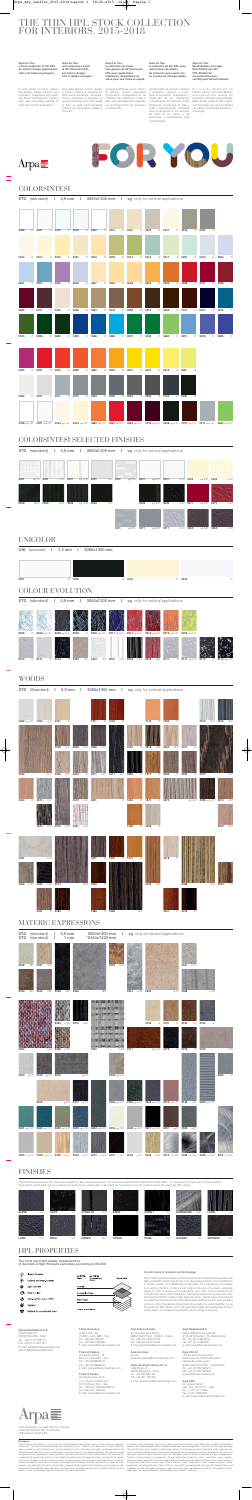### COLORSINTESI

|      |             | STD (standard) 1 0,9 mm 1 3050x1300 mm 1 vg only for vertical applications |             |        |             |        |        |        |        |        |             |        |   |        |             |        |             |        |             |
|------|-------------|----------------------------------------------------------------------------|-------------|--------|-------------|--------|--------|--------|--------|--------|-------------|--------|---|--------|-------------|--------|-------------|--------|-------------|
|      |             |                                                                            |             |        |             |        |        |        |        |        |             |        |   |        |             |        |             |        |             |
| 0028 | $\mathsf R$ | 0001                                                                       | $\mathsf R$ | 0010   |             | R 0249 | R 0020 | R 0201 | R 0227 | R 0622 | R.          | 0247   |   | R 0616 |             | R 0232 | $\mathsf R$ |        |             |
|      |             |                                                                            |             |        |             |        |        |        |        |        |             |        |   |        |             |        |             |        |             |
| 0244 |             | R 0204                                                                     |             | R 0200 |             | R 0237 | R 0218 | R 0533 | R 0214 | R 0614 |             | R 0517 |   | R 0651 |             | R 0203 |             | R 0264 | $\mathsf R$ |
|      |             |                                                                            |             |        |             |        |        |        |        |        |             |        |   |        |             |        |             |        |             |
| 0641 |             | R 0607                                                                     | $\mathsf R$ | 0605   | $\mathsf R$ | 0606   | R 0637 | R 0256 | R 0648 | R 0523 |             | R 0543 | R | 0698   | $R_{\perp}$ | 0571   | $R_{\perp}$ | 0538   | $\mathsf R$ |
|      |             |                                                                            |             |        |             |        |        |        |        |        |             |        |   |        |             |        |             |        |             |
| 0693 | R           | 0511                                                                       | R           | 0202   | R           | 0536   | R 0534 | R 0576 | R 0559 | R 0510 | $R_{\perp}$ | 0553   | R | 0701   | R           | 0507   |             | R 0215 | $\mathsf R$ |
|      |             |                                                                            |             |        |             |        |        |        |        |        |             |        |   |        |             |        |             |        |             |
| 0515 |             | R 0636                                                                     |             | R 0692 |             | R 0593 | R 0566 | R 0569 | R 0570 | R 0549 |             | R 0660 |   | R 0675 |             | R 0619 |             | R 0685 | $\mathsf R$ |
|      |             |                                                                            |             |        |             |        |        |        |        |        |             |        |   |        |             |        |             |        |             |
| 0594 |             | R 0561                                                                     |             | R 0500 |             | R 0699 | R 0682 | R 0564 | R 0647 | R 0670 |             | R 0573 |   | R 0661 | $\mathsf R$ |        |             |        |             |
| 0266 |             | R 0527                                                                     | R           | 0211   | $\mathsf R$ | 0210   | R 0234 | R 0595 | R 0623 | R 0526 |             | R 0700 |   | R 0509 | $\mathsf R$ |        |             |        |             |
|      |             |                                                                            |             |        |             |        |        |        |        |        |             |        |   |        |             |        |             |        |             |
|      |             |                                                                            |             |        |             |        |        |        |        |        |             |        |   |        |             |        |             |        |             |

the contract of the contract of the

# COLORSINTESI SELECTED FINISHES

**STD** (standard) **| 0,9 mm | 3050x1300 mm | vg** only for vertical applications **0001** vg TX **0001** LAR **0001** vg COR **0001** CLI **0001** vg PXL **0001** vg SAT **0001** LUN **0204** vg SAT **0204** LUN

### UNICOLOR

**UNI** (unicolor) **| 1,2 mm | 3050x1300 mm 0001** R **0509** R **0204** R **0249** R

**0211** vg PXL **0509** LAR **0509** vg COR **0509** CLI **0509** vg SAT **0509** LUN **0571** vg SAT **0571** LUN **0211** vg SAT **0211** LUN **0553** vg SAT **0553** LUN

**0509** NKD

## COLOUR EVOLUTION



**STD** (standard) **| 0,9 mm | 3050x1300 mm | vg** only for vertical applications

The finishes illustrated on this page are presented in their actual dimensions. To correctly understand the depth and tactile effect, it is advisable to request an A4 sized sample To ascertain which finish can be produced on each decor, please refer to the table on the reverse or to the notation below the particular HPL image.

| (Standard) I<br><b>STD</b>         |                                    | 0,9 mm   3050x1300 mm   vg only for vertical applications |                                    |                                     |                            |
|------------------------------------|------------------------------------|-----------------------------------------------------------|------------------------------------|-------------------------------------|----------------------------|
| 4268 vg LUC 1955<br>vg R           | $\mathsf R$<br>4327                | R 4123<br>1971<br>$\mathsf R$                             | 4176                               | R 1993<br>$\mathsf R$               | 4513<br>4515<br>GHI<br>GHI |
|                                    | 4529<br>ALV<br>4548<br>ALV         | 4526<br>ALV                                               | 4367<br>$\mathsf R$<br>4516<br>LAR | 4520<br>ALV<br>4071<br>$\mathsf{R}$ |                            |
| 4539<br>ALV                        | 4538<br>ALV<br>4543<br>$\mathsf R$ | ALV<br>4517<br>ALV<br>4511                                | 4384<br>R 1877<br>$\mathsf R$      | R<br>4533<br>$\mathsf{R}$<br>4532   | 4512<br>ALV                |
| $\mathsf R$<br>4574<br>ALV<br>4420 | 4519<br>LAR                        | 4521                                                      | R 1852<br>R 1870<br>$\mathsf R$    | 4572<br>vg ALV                      | GHI<br>4493 vg LUC<br>3310 |



Un large éventail de coloris, décors et finitions, source inépuisable d'inspiration, d'imagination et de créativité. Ces références "made in Italy" sont particulièrement adaptées in Italy" e tutte particolarmente aux aménagements de boutiques<br>indicate per applicazioni Retail & et collectivités.

### WOODS

|              | STD (standard)<br>STD (standard)                                                                                                          | $0,9$ mm<br>$\Box$<br>$1 \text{ mm}$<br>$\mathbf{L}$ |                  | *2440x1220 mm | 3050x1300 mm   vg only for vertical applications |             |                     |                                                      |                     |                       |      |
|--------------|-------------------------------------------------------------------------------------------------------------------------------------------|------------------------------------------------------|------------------|---------------|--------------------------------------------------|-------------|---------------------|------------------------------------------------------|---------------------|-----------------------|------|
| 3328<br>3325 | 3327<br>MK<br>MK<br>3324<br>МK<br>МK                                                                                                      | 3329<br>MK                                           | 3326             | MK            | 3294 LUN                                         | LUN<br>3331 | 3330                | LUN                                                  | 3347<br>LUN<br>3369 | LUN                   |      |
|              |                                                                                                                                           | 3385<br>LUN                                          | 3319 LAR         |               |                                                  |             | 3193<br>$\mathsf R$ | 3191<br>R                                            | 3190                | R 3192<br>$\mathsf R$ |      |
| 3384         | LUN                                                                                                                                       | 3386<br>LUN                                          |                  | 3320          | LAR                                              | 2211        | vg LUC              | 3279                                                 | R 3276              | R 3376                | LUN  |
|              | 2620 vg TX 3318 vg TX 2618                                                                                                                |                                                      | vg TX            |               | 2209 vg LUC                                      |             |                     |                                                      |                     |                       | 3283 |
|              | 2619                                                                                                                                      |                                                      | vg TX 3317 vg TX |               |                                                  |             |                     | 2206 vg LUC 2205 vg LUC 2625 vg LUC 2513 vg LUC 3149 |                     | QZ 2606 vg LUC        |      |
|              | 2631 vg LUC 2632 vg LUC 2633 vg LUC 2623 vg LUC 2624 vg LUC 2516 vg LUC 2608 vg LUC 2617 vg LUC 2551                                      |                                                      |                  |               |                                                  |             |                     | vg R                                                 | 2550<br>vg R        |                       |      |
|              | 2005 *vgLUC 2006 *vgLUC 2008 *vgSAT 2000 vgSAT 2012 vgSAT 2007 *vgCT 2002 vgOP 2003 vgSAT 2014 *vgHWK 2025 *vgHWK 2026 *vgHWK 2015 *vgHWk |                                                      |                  |               |                                                  |             |                     |                                                      |                     |                       |      |

# MATERIC EXPRESSIONS

### FINISHES

Since 1954 Arpa Industriale has been designing and manufacturing panels with<br>high quality HPL technology for the most diverse applications: from architecture<br>to interior design, from healthcare to shipyards, from transport from retail to kitchens. It offers a vast range of choices of products, extremely varied in both structure and appearance. Arpa HPL are produced at the 150,000 sqm plant in Bra, Piedmont, with all the expression of lively and origi:<br>nal creativity that the "made in Italy" label stands for. The 60 years of investment<br>in research & technology and staff training have enabled position on the international markets and a reputation for great reliability: it is an industrial firm that stands out for the expertise of staff, the quality and variety of what it offers, its manufacturing flexibility and its range of services.

### HPL PROPERTIES

**The most important quality characteristics** 

**of decorative High Pressure Laminates according to EN 438**



# THE THIN HPL STOCK COLLECTION FOR INTERIORS, 2015-2018

**Arpa for You, Die Kollektion auf Lager. Eine Palette aus 257 HPL-Platten für Inneneinrichtungen, vorrätig und schnell lieferbar.**

Ein breites Spektrum an Farben, Dekors und Oberflächen, unerschöpfliche Quelle für Inspiration, Fantasie und Kreativität. Diese Artikel "made in Italy" eignen sich besonders für die Ausstattung von Läden und Gemeinschaftseinrichtungen.



# FOR Y

**Arpa For You, la collection sur stock. Une gamme de 257 panneaux HPL pour applications intérieures, disponibles sur stock pour une livraison rapide.**

**Arpa for You, una collezione a stock di 257 decorativi HPL per interior design, tutti in rapida consegna.**

Una vasta gamma di colori, disegni e finiture sempre a disposizione della vostra ispirazione, immaginazione e creatività. Le referenze di questa collezione sono tutte "made in Italy" e tutte particolarmente Contract.

**Arpa for You, a stock collection of 257 HPL for interior design applications with a fast delivery program.**

A wide range of colors, decors and finishes, always ready for your inspiration, imagination and creativity. These references are "made in Italy" and particularly suitable for retail and contract applications.

**Arpa for You, la colección de 257 HPL para aplicaciones de diseño de interiores que cuenta con un servicio de entrega rápida.**

Amplia gama de colores, diseños y acabados, siempre a punto para la inspiración, imaginación y creatividad de los arquitectos y diseñadores de interiores. Estas referencias se fabrican en Italia y están particularmente indicadas para su utilización en los sectores de venta al por menor y de decoración e instalaciones para colectividades.

### **Over 60 years of research and technology**

Arpa Industriale is a single member company under the direction and coordination of Broadview Holding BV.

**Disclaimer**<br>**One disclaimer** that follows is a summary of the applicable full disclaimer (which can be found on arpaindu-<br>striale.com). The information provided by Arpa Industriale S.p.A. ("Arpa") in this document is sole

Customers and third parties must have a professional adviser inform them about (the suitability of) the Arpa's<br>products for all desired applications and about applicable laws and regulations. Arpa reserves the right to cha

### **Filiale di Lissone** Via B. Cellini, 29 20035 Lissone (MB) - Italy Tel. +39 039 795525 Fax +39 039 2782484 E-mail: lissone@arpaindustriale.com

### **Filiale di Padova**

Via Cesare Battisti, 13 35010 Limena (PD) - Italy Tel. +39 049 8848105 Fax +39 049 8848004 E-mail: padova@arpaindustriale.com

**Filiale di Pesaro** Via dell'Industria, 8/10 Loc. Chiusa di Ginestreto 61100 Pesaro (PU) - Italy Tel. +39 0721 482295/482012 Fax +39 0721 482292 E-mail: pesaro@arpaindustriale.com

### **Arpa Industriale S.p.A.**

Via Piumati, 91 12042 Bra (CN) - Italy Tel. +39 0172 436111 Fax +39 0172 431151 E-mail: arpa@arpaindustriale.com export@arpaindustriale.com

### **Arpa France S.A.R.L.**

50, Impasse de la Balme 69805 Saint Priest - CEDEX - France Tel. +33 (0)4 78 90 00 23 Fax +33 (0)4 78 90 64 66 E-mail: arpafrance@arpaindustriale.com

### **Arpa Germany**

E-mail: arpadeutschland@arpaindustriale.com

**Arpa Industriale Iberica S.L.U.** Calle Ribera, 5 08003 Barcelona - Spain Tel. +34 932 687 061 Fax +34 931 163 300 E-mail: arpaiberica@arpaindustriale.com

### **Arpa Nederland B.V.**

Nieuw Mathenesserstraat 69 3113 AE Schiedam - The Netherlands Tel. +31 (0)10 2857315 Fax +31 (0)10 2857331 E-mail: arpanl@arpaindustriale.com

### **Arpa UK Ltd**

Unit 32, Brookhouse Road, Parkhouse Industrial Estate West, Newcastle-under-Lyme, Staffordshire ST5 7RU - Great Britain Tel. +44 (0)1782 561914 Fax +44 (0)1782 561846 arpauk@arpaindustriale.com

### **Arpa USA**

62, Greene Street New York, NY 10012 - USA Tel. +1 877 277 2669 Fax +1 877 538 5607 E-mail: arpausa@arpaindustriale.com